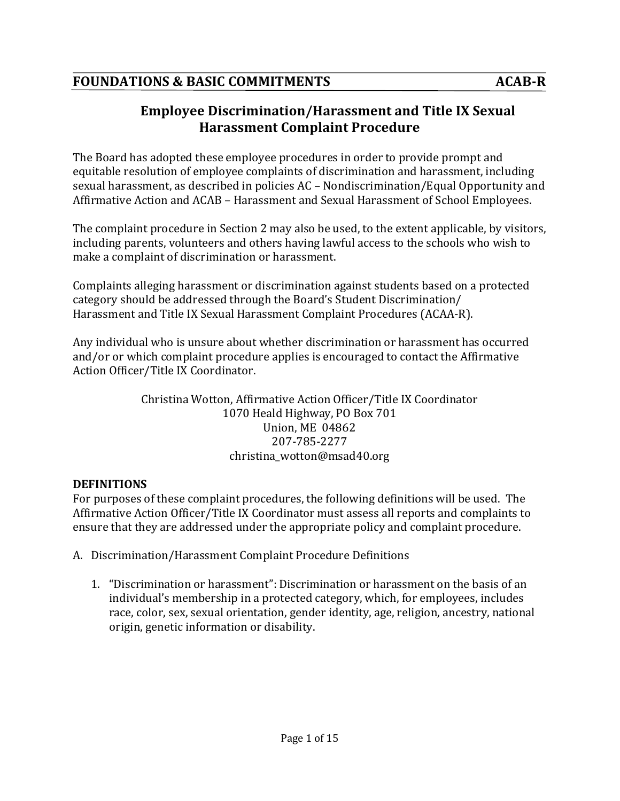# **Employee Discrimination/Harassment and Title IX Sexual Harassment Complaint Procedure**

The Board has adopted these employee procedures in order to provide prompt and equitable resolution of employee complaints of discrimination and harassment, including sexual harassment, as described in policies AC – Nondiscrimination/Equal Opportunity and Affirmative Action and ACAB - Harassment and Sexual Harassment of School Employees.

The complaint procedure in Section 2 may also be used, to the extent applicable, by visitors, including parents, volunteers and others having lawful access to the schools who wish to make a complaint of discrimination or harassment.

Complaints alleging harassment or discrimination against students based on a protected category should be addressed through the Board's Student Discrimination/ Harassment and Title IX Sexual Harassment Complaint Procedures (ACAA-R).

Any individual who is unsure about whether discrimination or harassment has occurred and/or or which complaint procedure applies is encouraged to contact the Affirmative Action Officer/Title IX Coordinator.

> Christina Wotton, Affirmative Action Officer/Title IX Coordinator 1070 Heald Highway, PO Box 701 Union, ME 04862 207-785-2277 christina\_wotton@msad40.org

#### **DEFINITIONS**

For purposes of these complaint procedures, the following definitions will be used. The Affirmative Action Officer/Title IX Coordinator must assess all reports and complaints to ensure that they are addressed under the appropriate policy and complaint procedure.

- A. Discrimination/Harassment Complaint Procedure Definitions
	- 1. "Discrimination or harassment": Discrimination or harassment on the basis of an individual's membership in a protected category, which, for employees, includes race, color, sex, sexual orientation, gender identity, age, religion, ancestry, national origin, genetic information or disability.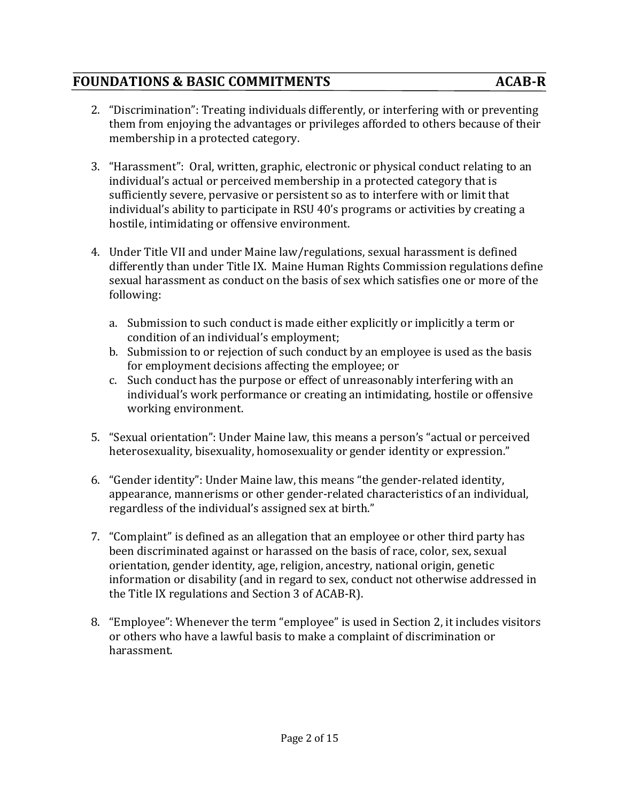## **FOUNDATIONS & BASIC COMMITMENTS** ACAB-R

- 2. "Discrimination": Treating individuals differently, or interfering with or preventing them from enjoying the advantages or privileges afforded to others because of their membership in a protected category.
- 3. "Harassment": Oral, written, graphic, electronic or physical conduct relating to an individual's actual or perceived membership in a protected category that is sufficiently severe, pervasive or persistent so as to interfere with or limit that individual's ability to participate in RSU 40's programs or activities by creating a hostile, intimidating or offensive environment.
- 4. Under Title VII and under Maine law/regulations, sexual harassment is defined differently than under Title IX. Maine Human Rights Commission regulations define sexual harassment as conduct on the basis of sex which satisfies one or more of the following:
	- a. Submission to such conduct is made either explicitly or implicitly a term or condition of an individual's employment;
	- b. Submission to or rejection of such conduct by an employee is used as the basis for employment decisions affecting the employee; or
	- c. Such conduct has the purpose or effect of unreasonably interfering with an individual's work performance or creating an intimidating, hostile or offensive working environment.
- 5. "Sexual orientation": Under Maine law, this means a person's "actual or perceived heterosexuality, bisexuality, homosexuality or gender identity or expression."
- 6. "Gender identity": Under Maine law, this means "the gender-related identity, appearance, mannerisms or other gender-related characteristics of an individual, regardless of the individual's assigned sex at birth."
- 7. "Complaint" is defined as an allegation that an employee or other third party has been discriminated against or harassed on the basis of race, color, sex, sexual orientation, gender identity, age, religion, ancestry, national origin, genetic information or disability (and in regard to sex, conduct not otherwise addressed in the Title IX regulations and Section 3 of ACAB-R).
- 8. "Employee": Whenever the term "employee" is used in Section 2, it includes visitors or others who have a lawful basis to make a complaint of discrimination or harassment.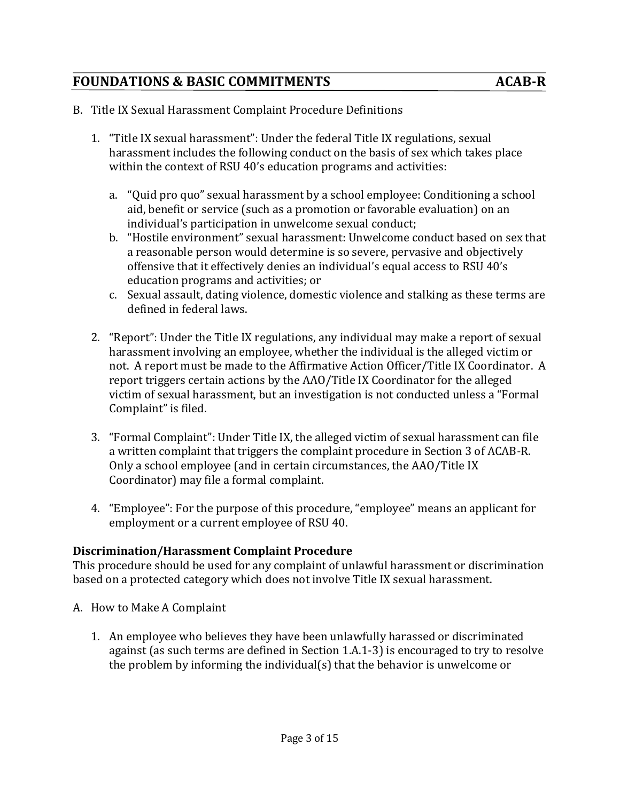- B. Title IX Sexual Harassment Complaint Procedure Definitions
	- 1. "Title IX sexual harassment": Under the federal Title IX regulations, sexual harassment includes the following conduct on the basis of sex which takes place within the context of RSU 40's education programs and activities:
		- a. "Quid pro quo" sexual harassment by a school employee: Conditioning a school aid, benefit or service (such as a promotion or favorable evaluation) on an individual's participation in unwelcome sexual conduct:
		- b. "Hostile environment" sexual harassment: Unwelcome conduct based on sex that a reasonable person would determine is so severe, pervasive and objectively offensive that it effectively denies an individual's equal access to RSU 40's education programs and activities; or
		- c. Sexual assault, dating violence, domestic violence and stalking as these terms are defined in federal laws.
	- 2. "Report": Under the Title IX regulations, any individual may make a report of sexual harassment involving an employee, whether the individual is the alleged victim or not. A report must be made to the Affirmative Action Officer/Title IX Coordinator. A report triggers certain actions by the AAO/Title IX Coordinator for the alleged victim of sexual harassment, but an investigation is not conducted unless a "Formal Complaint" is filed.
	- 3. "Formal Complaint": Under Title IX, the alleged victim of sexual harassment can file a written complaint that triggers the complaint procedure in Section 3 of ACAB-R. Only a school employee (and in certain circumstances, the AAO/Title IX Coordinator) may file a formal complaint.
	- 4. "Employee": For the purpose of this procedure, "employee" means an applicant for employment or a current employee of RSU 40.

#### **Discrimination/Harassment Complaint Procedure**

This procedure should be used for any complaint of unlawful harassment or discrimination based on a protected category which does not involve Title IX sexual harassment.

- A. How to Make A Complaint
	- 1. An employee who believes they have been unlawfully harassed or discriminated against (as such terms are defined in Section 1.A.1-3) is encouraged to try to resolve the problem by informing the individual(s) that the behavior is unwelcome or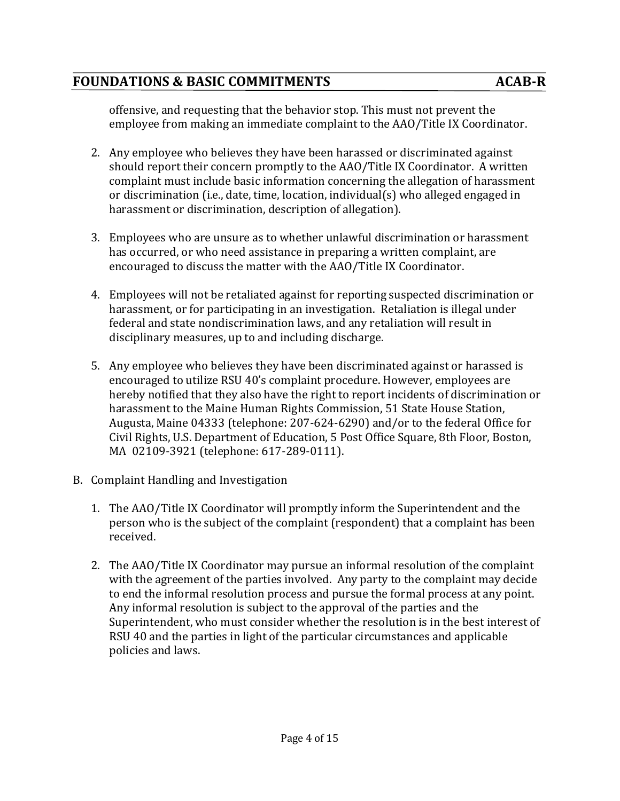offensive, and requesting that the behavior stop. This must not prevent the employee from making an immediate complaint to the AAO/Title IX Coordinator.

- 2. Any employee who believes they have been harassed or discriminated against should report their concern promptly to the AAO/Title IX Coordinator. A written complaint must include basic information concerning the allegation of harassment or discrimination (i.e., date, time, location, individual(s) who alleged engaged in harassment or discrimination, description of allegation).
- 3. Employees who are unsure as to whether unlawful discrimination or harassment has occurred, or who need assistance in preparing a written complaint, are encouraged to discuss the matter with the AAO/Title IX Coordinator.
- 4. Employees will not be retaliated against for reporting suspected discrimination or harassment, or for participating in an investigation. Retaliation is illegal under federal and state nondiscrimination laws, and any retaliation will result in disciplinary measures, up to and including discharge.
- 5. Any employee who believes they have been discriminated against or harassed is encouraged to utilize RSU 40's complaint procedure. However, employees are hereby notified that they also have the right to report incidents of discrimination or harassment to the Maine Human Rights Commission, 51 State House Station, Augusta, Maine 04333 (telephone: 207-624-6290) and/or to the federal Office for Civil Rights, U.S. Department of Education, 5 Post Office Square, 8th Floor, Boston, MA 02109-3921 (telephone: 617-289-0111).
- B. Complaint Handling and Investigation
	- 1. The AAO/Title IX Coordinator will promptly inform the Superintendent and the person who is the subject of the complaint (respondent) that a complaint has been received.
	- 2. The AAO/Title IX Coordinator may pursue an informal resolution of the complaint with the agreement of the parties involved. Any party to the complaint may decide to end the informal resolution process and pursue the formal process at any point. Any informal resolution is subject to the approval of the parties and the Superintendent, who must consider whether the resolution is in the best interest of RSU 40 and the parties in light of the particular circumstances and applicable policies and laws.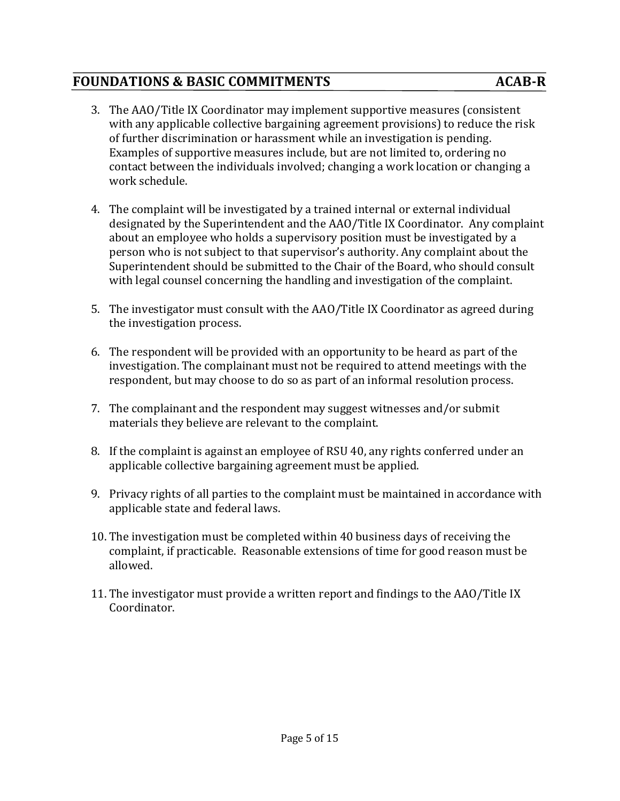- 3. The AAO/Title IX Coordinator may implement supportive measures (consistent with any applicable collective bargaining agreement provisions) to reduce the risk of further discrimination or harassment while an investigation is pending. Examples of supportive measures include, but are not limited to, ordering no contact between the individuals involved; changing a work location or changing a work schedule.
- 4. The complaint will be investigated by a trained internal or external individual designated by the Superintendent and the AAO/Title IX Coordinator. Any complaint about an employee who holds a supervisory position must be investigated by a person who is not subject to that supervisor's authority. Any complaint about the Superintendent should be submitted to the Chair of the Board, who should consult with legal counsel concerning the handling and investigation of the complaint.
- 5. The investigator must consult with the AAO/Title IX Coordinator as agreed during the investigation process.
- 6. The respondent will be provided with an opportunity to be heard as part of the investigation. The complainant must not be required to attend meetings with the respondent, but may choose to do so as part of an informal resolution process.
- 7. The complainant and the respondent may suggest witnesses and/or submit materials they believe are relevant to the complaint.
- 8. If the complaint is against an employee of RSU 40, any rights conferred under an applicable collective bargaining agreement must be applied.
- 9. Privacy rights of all parties to the complaint must be maintained in accordance with applicable state and federal laws.
- 10. The investigation must be completed within 40 business days of receiving the complaint, if practicable. Reasonable extensions of time for good reason must be allowed.
- 11. The investigator must provide a written report and findings to the AAO/Title IX Coordinator.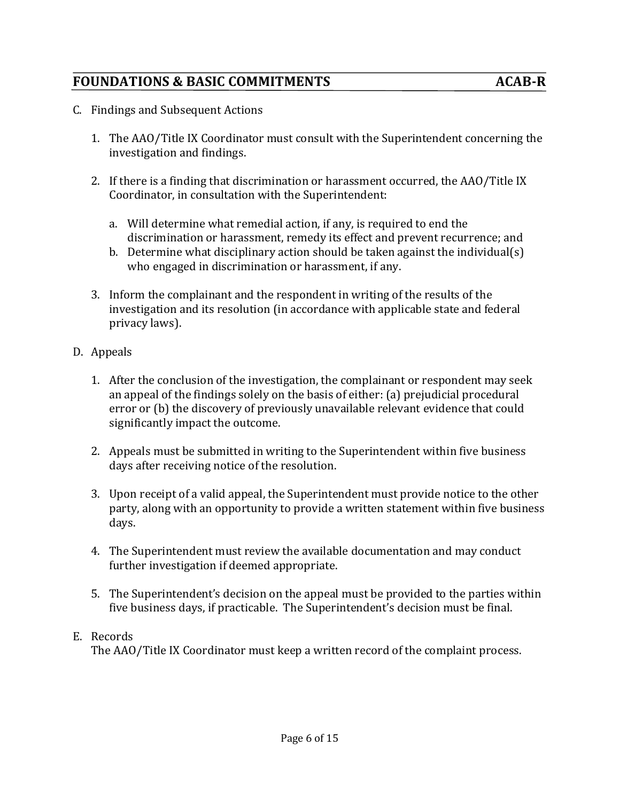- C. Findings and Subsequent Actions
	- 1. The AAO/Title IX Coordinator must consult with the Superintendent concerning the investigation and findings.
	- 2. If there is a finding that discrimination or harassment occurred, the AAO/Title IX Coordinator, in consultation with the Superintendent:
		- a. Will determine what remedial action, if any, is required to end the discrimination or harassment, remedy its effect and prevent recurrence; and
		- b. Determine what disciplinary action should be taken against the individual(s) who engaged in discrimination or harassment, if any.
	- 3. Inform the complainant and the respondent in writing of the results of the investigation and its resolution (in accordance with applicable state and federal privacy laws).
- D. Appeals
	- 1. After the conclusion of the investigation, the complainant or respondent may seek an appeal of the findings solely on the basis of either: (a) prejudicial procedural error or (b) the discovery of previously unavailable relevant evidence that could significantly impact the outcome.
	- 2. Appeals must be submitted in writing to the Superintendent within five business days after receiving notice of the resolution.
	- 3. Upon receipt of a valid appeal, the Superintendent must provide notice to the other party, along with an opportunity to provide a written statement within five business days.
	- 4. The Superintendent must review the available documentation and may conduct further investigation if deemed appropriate.
	- 5. The Superintendent's decision on the appeal must be provided to the parties within five business days, if practicable. The Superintendent's decision must be final.

#### E. Records

The AAO/Title IX Coordinator must keep a written record of the complaint process.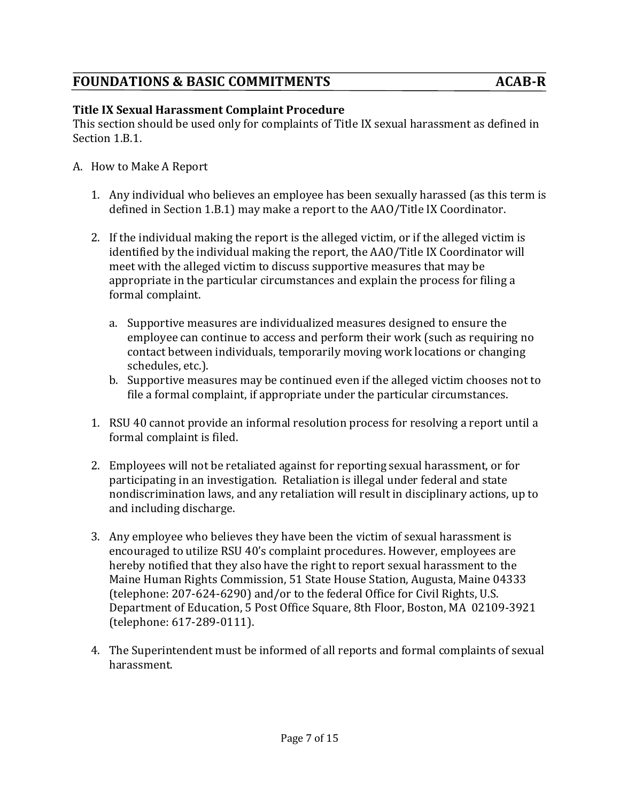#### **Title IX Sexual Harassment Complaint Procedure**

This section should be used only for complaints of Title IX sexual harassment as defined in Section 1.B.1.

- A. How to Make A Report
	- 1. Any individual who believes an employee has been sexually harassed (as this term is defined in Section 1.B.1) may make a report to the AAO/Title IX Coordinator.
	- 2. If the individual making the report is the alleged victim, or if the alleged victim is identified by the individual making the report, the AAO/Title IX Coordinator will meet with the alleged victim to discuss supportive measures that may be appropriate in the particular circumstances and explain the process for filing a formal complaint.
		- a. Supportive measures are individualized measures designed to ensure the employee can continue to access and perform their work (such as requiring no contact between individuals, temporarily moving work locations or changing schedules, etc.).
		- b. Supportive measures may be continued even if the alleged victim chooses not to file a formal complaint, if appropriate under the particular circumstances.
	- 1. RSU 40 cannot provide an informal resolution process for resolving a report until a formal complaint is filed.
	- 2. Employees will not be retaliated against for reporting sexual harassment, or for participating in an investigation. Retaliation is illegal under federal and state nondiscrimination laws, and any retaliation will result in disciplinary actions, up to and including discharge.
	- 3. Any employee who believes they have been the victim of sexual harassment is encouraged to utilize RSU 40's complaint procedures. However, employees are hereby notified that they also have the right to report sexual harassment to the Maine Human Rights Commission, 51 State House Station, Augusta, Maine 04333 (telephone: 207-624-6290) and/or to the federal Office for Civil Rights, U.S. Department of Education, 5 Post Office Square, 8th Floor, Boston, MA 02109-3921 (telephone: 617-289-0111).
	- 4. The Superintendent must be informed of all reports and formal complaints of sexual harassment.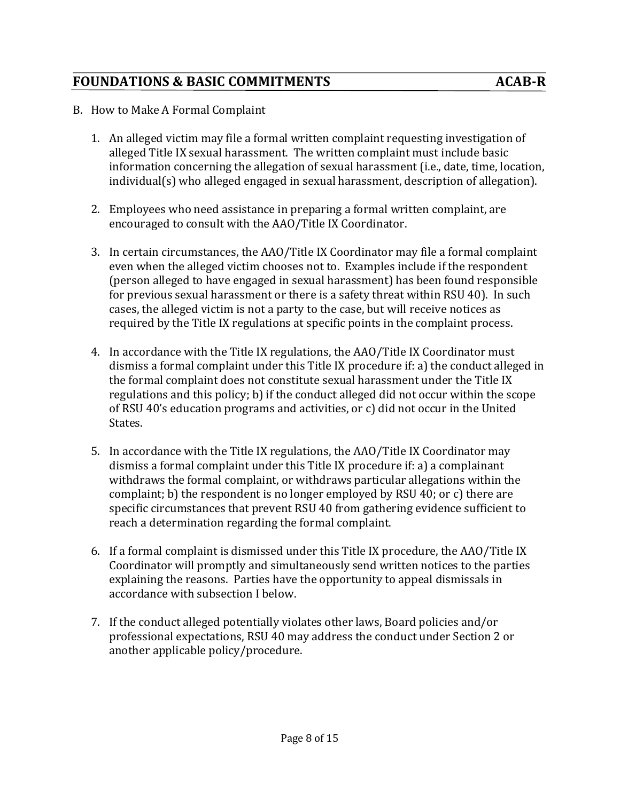- B. How to Make A Formal Complaint
	- 1. An alleged victim may file a formal written complaint requesting investigation of alleged Title IX sexual harassment. The written complaint must include basic information concerning the allegation of sexual harassment (i.e., date, time, location, individual(s) who alleged engaged in sexual harassment, description of allegation).
	- 2. Employees who need assistance in preparing a formal written complaint, are encouraged to consult with the AAO/Title IX Coordinator.
	- 3. In certain circumstances, the AAO/Title IX Coordinator may file a formal complaint even when the alleged victim chooses not to. Examples include if the respondent (person alleged to have engaged in sexual harassment) has been found responsible for previous sexual harassment or there is a safety threat within RSU 40). In such cases, the alleged victim is not a party to the case, but will receive notices as required by the Title IX regulations at specific points in the complaint process.
	- 4. In accordance with the Title IX regulations, the AAO/Title IX Coordinator must dismiss a formal complaint under this Title IX procedure if: a) the conduct alleged in the formal complaint does not constitute sexual harassment under the Title IX regulations and this policy; b) if the conduct alleged did not occur within the scope of RSU 40's education programs and activities, or c) did not occur in the United States.
	- 5. In accordance with the Title IX regulations, the AAO/Title IX Coordinator may dismiss a formal complaint under this Title IX procedure if: a) a complainant withdraws the formal complaint, or withdraws particular allegations within the complaint; b) the respondent is no longer employed by RSU 40; or c) there are specific circumstances that prevent RSU 40 from gathering evidence sufficient to reach a determination regarding the formal complaint.
	- 6. If a formal complaint is dismissed under this Title IX procedure, the AAO/Title IX Coordinator will promptly and simultaneously send written notices to the parties explaining the reasons. Parties have the opportunity to appeal dismissals in accordance with subsection I below.
	- 7. If the conduct alleged potentially violates other laws, Board policies and/or professional expectations, RSU 40 may address the conduct under Section 2 or another applicable policy/procedure.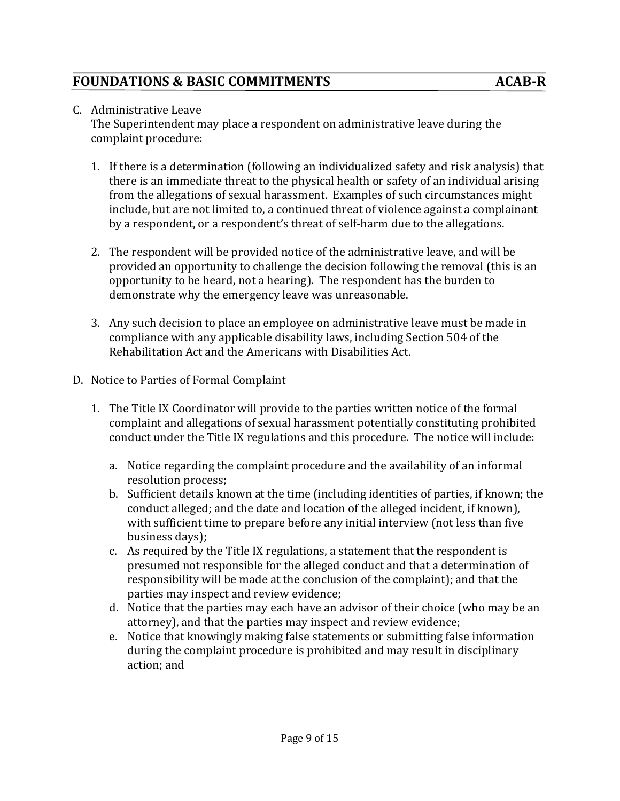#### C. Administrative Leave

The Superintendent may place a respondent on administrative leave during the complaint procedure:

- 1. If there is a determination (following an individualized safety and risk analysis) that there is an immediate threat to the physical health or safety of an individual arising from the allegations of sexual harassment. Examples of such circumstances might include, but are not limited to, a continued threat of violence against a complainant by a respondent, or a respondent's threat of self-harm due to the allegations.
- 2. The respondent will be provided notice of the administrative leave, and will be provided an opportunity to challenge the decision following the removal (this is an opportunity to be heard, not a hearing). The respondent has the burden to demonstrate why the emergency leave was unreasonable.
- 3. Any such decision to place an employee on administrative leave must be made in compliance with any applicable disability laws, including Section 504 of the Rehabilitation Act and the Americans with Disabilities Act.
- D. Notice to Parties of Formal Complaint
	- 1. The Title IX Coordinator will provide to the parties written notice of the formal complaint and allegations of sexual harassment potentially constituting prohibited conduct under the Title IX regulations and this procedure. The notice will include:
		- a. Notice regarding the complaint procedure and the availability of an informal resolution process:
		- b. Sufficient details known at the time (including identities of parties, if known; the conduct alleged; and the date and location of the alleged incident, if known), with sufficient time to prepare before any initial interview (not less than five business days);
		- c. As required by the Title IX regulations, a statement that the respondent is presumed not responsible for the alleged conduct and that a determination of responsibility will be made at the conclusion of the complaint); and that the parties may inspect and review evidence;
		- d. Notice that the parties may each have an advisor of their choice (who may be an attorney), and that the parties may inspect and review evidence;
		- e. Notice that knowingly making false statements or submitting false information during the complaint procedure is prohibited and may result in disciplinary action: and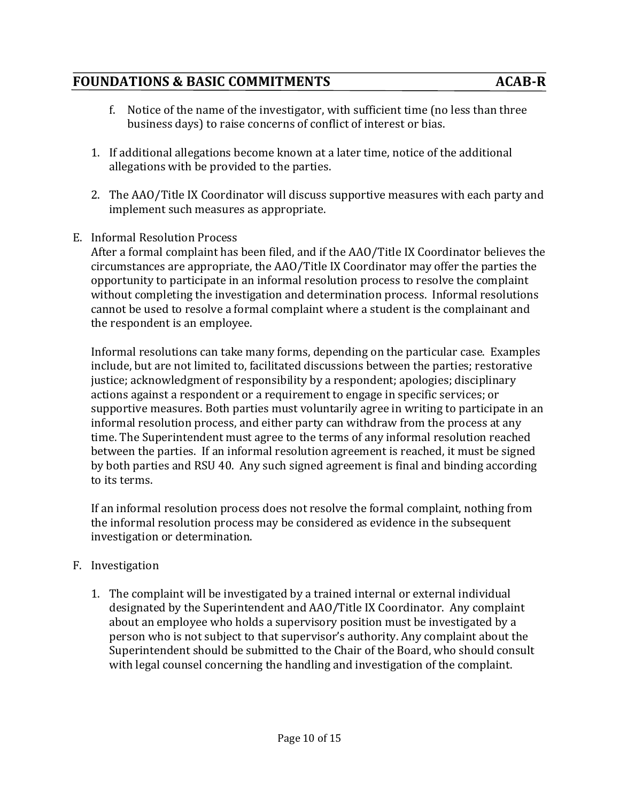## **FOUNDATIONS & BASIC COMMITMENTS** ACAB-R

- f. Notice of the name of the investigator, with sufficient time (no less than three business days) to raise concerns of conflict of interest or bias.
- 1. If additional allegations become known at a later time, notice of the additional allegations with be provided to the parties.
- 2. The AAO/Title IX Coordinator will discuss supportive measures with each party and implement such measures as appropriate.
- E. Informal Resolution Process

After a formal complaint has been filed, and if the AAO/Title IX Coordinator believes the circumstances are appropriate, the AAO/Title IX Coordinator may offer the parties the opportunity to participate in an informal resolution process to resolve the complaint without completing the investigation and determination process. Informal resolutions cannot be used to resolve a formal complaint where a student is the complainant and the respondent is an employee.

Informal resolutions can take many forms, depending on the particular case. Examples include, but are not limited to, facilitated discussions between the parties; restorative justice; acknowledgment of responsibility by a respondent; apologies; disciplinary actions against a respondent or a requirement to engage in specific services; or supportive measures. Both parties must voluntarily agree in writing to participate in an informal resolution process, and either party can withdraw from the process at any time. The Superintendent must agree to the terms of any informal resolution reached between the parties. If an informal resolution agreement is reached, it must be signed by both parties and RSU 40. Any such signed agreement is final and binding according to its terms.

If an informal resolution process does not resolve the formal complaint, nothing from the informal resolution process may be considered as evidence in the subsequent investigation or determination.

#### F. Investigation

1. The complaint will be investigated by a trained internal or external individual designated by the Superintendent and AAO/Title IX Coordinator. Any complaint about an employee who holds a supervisory position must be investigated by a person who is not subject to that supervisor's authority. Any complaint about the Superintendent should be submitted to the Chair of the Board, who should consult with legal counsel concerning the handling and investigation of the complaint.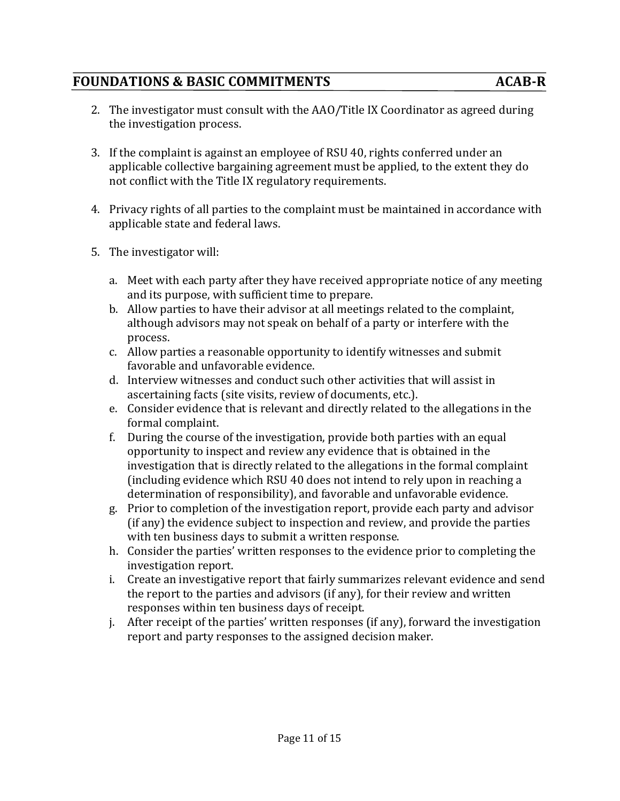- 2. The investigator must consult with the AAO/Title IX Coordinator as agreed during the investigation process.
- 3. If the complaint is against an employee of RSU 40, rights conferred under an applicable collective bargaining agreement must be applied, to the extent they do not conflict with the Title IX regulatory requirements.
- 4. Privacy rights of all parties to the complaint must be maintained in accordance with applicable state and federal laws.
- 5. The investigator will:
	- a. Meet with each party after they have received appropriate notice of any meeting and its purpose, with sufficient time to prepare.
	- b. Allow parties to have their advisor at all meetings related to the complaint, although advisors may not speak on behalf of a party or interfere with the process.
	- c. Allow parties a reasonable opportunity to identify witnesses and submit favorable and unfavorable evidence.
	- d. Interview witnesses and conduct such other activities that will assist in ascertaining facts (site visits, review of documents, etc.).
	- e. Consider evidence that is relevant and directly related to the allegations in the formal complaint.
	- f. During the course of the investigation, provide both parties with an equal opportunity to inspect and review any evidence that is obtained in the investigation that is directly related to the allegations in the formal complaint (including evidence which RSU 40 does not intend to rely upon in reaching a determination of responsibility), and favorable and unfavorable evidence.
	- g. Prior to completion of the investigation report, provide each party and advisor (if any) the evidence subject to inspection and review, and provide the parties with ten business days to submit a written response.
	- h. Consider the parties' written responses to the evidence prior to completing the investigation report.
	- i. Create an investigative report that fairly summarizes relevant evidence and send the report to the parties and advisors (if any), for their review and written responses within ten business days of receipt.
	- j. After receipt of the parties' written responses (if any), forward the investigation report and party responses to the assigned decision maker.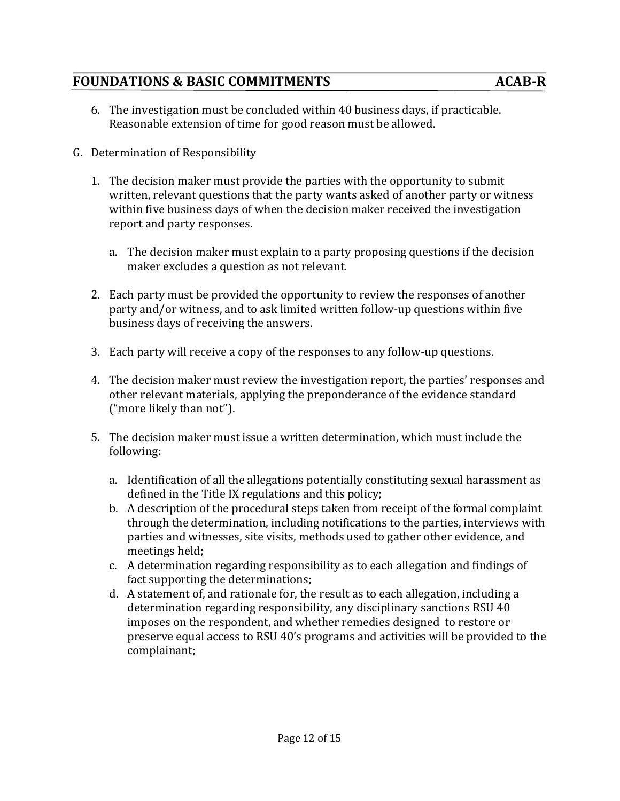## **FOUNDATIONS & BASIC COMMITMENTS** ACAB-R

- 6. The investigation must be concluded within 40 business days, if practicable. Reasonable extension of time for good reason must be allowed.
- G. Determination of Responsibility
	- 1. The decision maker must provide the parties with the opportunity to submit written, relevant questions that the party wants asked of another party or witness within five business days of when the decision maker received the investigation report and party responses.
		- a. The decision maker must explain to a party proposing questions if the decision maker excludes a question as not relevant.
	- 2. Each party must be provided the opportunity to review the responses of another party and/or witness, and to ask limited written follow-up questions within five business days of receiving the answers.
	- 3. Each party will receive a copy of the responses to any follow-up questions.
	- 4. The decision maker must review the investigation report, the parties' responses and other relevant materials, applying the preponderance of the evidence standard ("more likely than not").
	- 5. The decision maker must issue a written determination, which must include the following:
		- a. Identification of all the allegations potentially constituting sexual harassment as defined in the Title IX regulations and this policy;
		- b. A description of the procedural steps taken from receipt of the formal complaint through the determination, including notifications to the parties, interviews with parties and witnesses, site visits, methods used to gather other evidence, and meetings held;
		- c. A determination regarding responsibility as to each allegation and findings of fact supporting the determinations;
		- d. A statement of, and rationale for, the result as to each allegation, including a determination regarding responsibility, any disciplinary sanctions RSU 40 imposes on the respondent, and whether remedies designed to restore or preserve equal access to RSU 40's programs and activities will be provided to the complainant;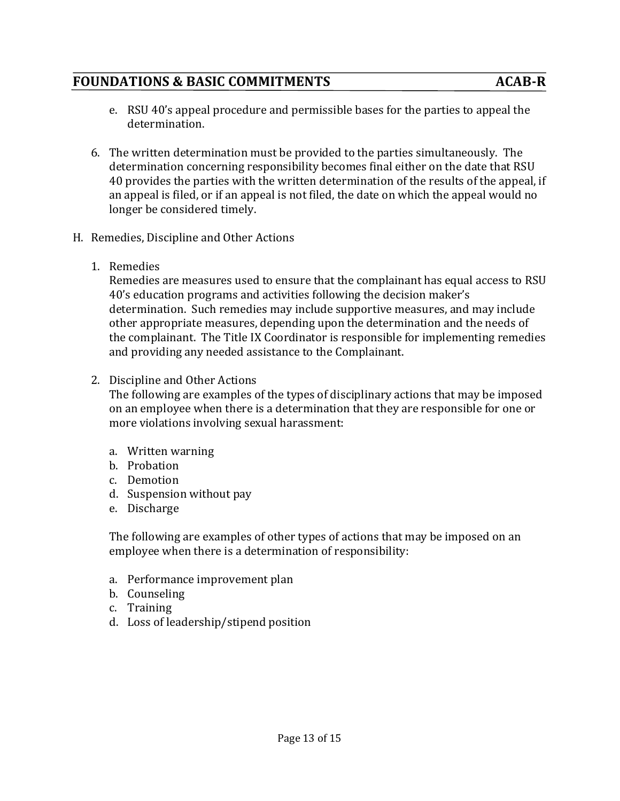- e. RSU 40's appeal procedure and permissible bases for the parties to appeal the determination.
- 6. The written determination must be provided to the parties simultaneously. The determination concerning responsibility becomes final either on the date that RSU 40 provides the parties with the written determination of the results of the appeal, if an appeal is filed, or if an appeal is not filed, the date on which the appeal would no longer be considered timely.
- H. Remedies, Discipline and Other Actions
	- 1. Remedies

Remedies are measures used to ensure that the complainant has equal access to RSU 40's education programs and activities following the decision maker's determination. Such remedies may include supportive measures, and may include other appropriate measures, depending upon the determination and the needs of the complainant. The Title IX Coordinator is responsible for implementing remedies and providing any needed assistance to the Complainant.

2. Discipline and Other Actions

The following are examples of the types of disciplinary actions that may be imposed on an employee when there is a determination that they are responsible for one or more violations involving sexual harassment:

- a. Written warning
- b. Probation
- c. Demotion
- d. Suspension without pay
- e. Discharge

The following are examples of other types of actions that may be imposed on an employee when there is a determination of responsibility:

- a. Performance improvement plan
- b. Counseling
- c. Training
- d. Loss of leadership/stipend position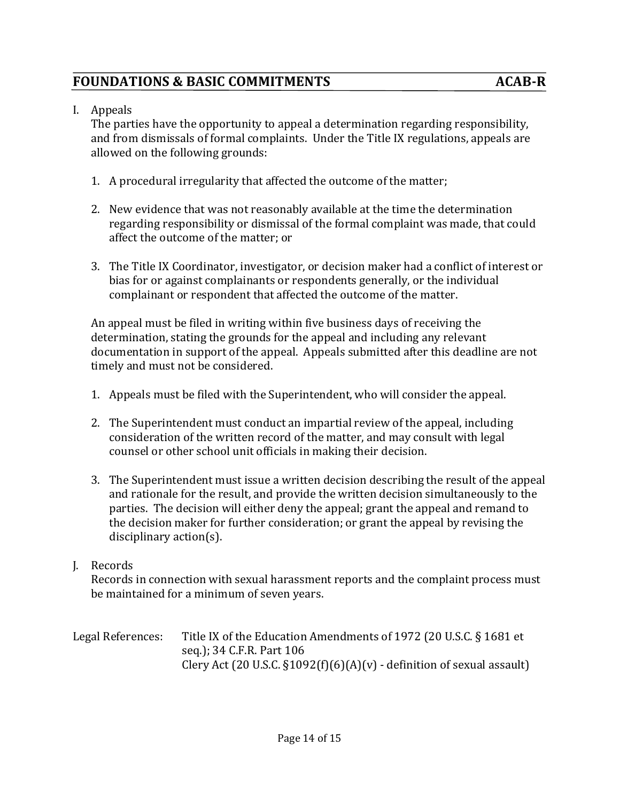I. Appeals

The parties have the opportunity to appeal a determination regarding responsibility, and from dismissals of formal complaints. Under the Title IX regulations, appeals are allowed on the following grounds:

- 1. A procedural irregularity that affected the outcome of the matter;
- 2. New evidence that was not reasonably available at the time the determination regarding responsibility or dismissal of the formal complaint was made, that could affect the outcome of the matter; or
- 3. The Title IX Coordinator, investigator, or decision maker had a conflict of interest or bias for or against complainants or respondents generally, or the individual complainant or respondent that affected the outcome of the matter.

An appeal must be filed in writing within five business days of receiving the determination, stating the grounds for the appeal and including any relevant documentation in support of the appeal. Appeals submitted after this deadline are not timely and must not be considered.

- 1. Appeals must be filed with the Superintendent, who will consider the appeal.
- 2. The Superintendent must conduct an impartial review of the appeal, including consideration of the written record of the matter, and may consult with legal counsel or other school unit officials in making their decision.
- 3. The Superintendent must issue a written decision describing the result of the appeal and rationale for the result, and provide the written decision simultaneously to the parties. The decision will either deny the appeal; grant the appeal and remand to the decision maker for further consideration; or grant the appeal by revising the disciplinary action(s).

#### J. Records

Records in connection with sexual harassment reports and the complaint process must be maintained for a minimum of seven years.

Legal References: Title IX of the Education Amendments of 1972 (20 U.S.C.  $\S$  1681 et seq.); 34 C.F.R. Part 106 Clery Act (20 U.S.C.  $\S1092(f)(6)(A)(v)$  - definition of sexual assault)